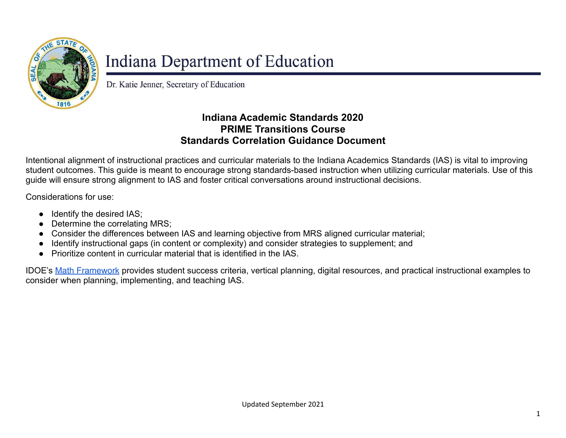

## Indiana Department of Education

Dr. Katie Jenner, Secretary of Education

## **Indiana Academic Standards 2020 PRIME Transitions Course Standards Correlation Guidance Document**

Intentional alignment of instructional practices and curricular materials to the Indiana Academics Standards (IAS) is vital to improving student outcomes. This guide is meant to encourage strong standards-based instruction when utilizing curricular materials. Use of this guide will ensure strong alignment to IAS and foster critical conversations around instructional decisions.

Considerations for use:

- Identify the desired IAS;
- Determine the correlating MRS;
- Consider the differences between IAS and learning objective from MRS aligned curricular material;
- Identify instructional gaps (in content or complexity) and consider strategies to supplement; and
- Prioritize content in curricular material that is identified in the IAS.

IDOE's [Math Framework](https://inlearninglab.com/collections/math-frameworks) provides student success criteria, vertical planning, digital resources, and practical instructional examples to consider when planning, implementing, and teaching IAS.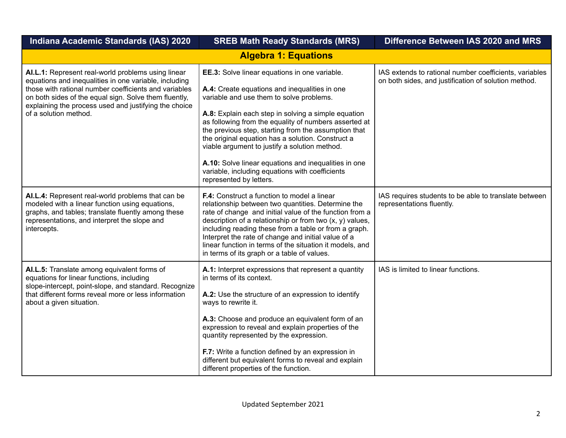| Indiana Academic Standards (IAS) 2020                                                                                                                                                                                                                                                                           | <b>SREB Math Ready Standards (MRS)</b>                                                                                                                                                                                                                                                                                                                                                                                                                                                                                                                         | Difference Between IAS 2020 and MRS                                                                            |
|-----------------------------------------------------------------------------------------------------------------------------------------------------------------------------------------------------------------------------------------------------------------------------------------------------------------|----------------------------------------------------------------------------------------------------------------------------------------------------------------------------------------------------------------------------------------------------------------------------------------------------------------------------------------------------------------------------------------------------------------------------------------------------------------------------------------------------------------------------------------------------------------|----------------------------------------------------------------------------------------------------------------|
|                                                                                                                                                                                                                                                                                                                 | <b>Algebra 1: Equations</b>                                                                                                                                                                                                                                                                                                                                                                                                                                                                                                                                    |                                                                                                                |
| AI.L.1: Represent real-world problems using linear<br>equations and inequalities in one variable, including<br>those with rational number coefficients and variables<br>on both sides of the equal sign. Solve them fluently,<br>explaining the process used and justifying the choice<br>of a solution method. | EE.3: Solve linear equations in one variable.<br>A.4: Create equations and inequalities in one<br>variable and use them to solve problems.<br>A.8: Explain each step in solving a simple equation<br>as following from the equality of numbers asserted at<br>the previous step, starting from the assumption that<br>the original equation has a solution. Construct a<br>viable argument to justify a solution method.<br>A.10: Solve linear equations and inequalities in one<br>variable, including equations with coefficients<br>represented by letters. | IAS extends to rational number coefficients, variables<br>on both sides, and justification of solution method. |
| AI.L.4: Represent real-world problems that can be<br>modeled with a linear function using equations,<br>graphs, and tables; translate fluently among these<br>representations, and interpret the slope and<br>intercepts.                                                                                       | F.4: Construct a function to model a linear<br>relationship between two quantities. Determine the<br>rate of change and initial value of the function from a<br>description of a relationship or from two $(x, y)$ values,<br>including reading these from a table or from a graph.<br>Interpret the rate of change and initial value of a<br>linear function in terms of the situation it models, and<br>in terms of its graph or a table of values.                                                                                                          | IAS requires students to be able to translate between<br>representations fluently.                             |
| AI.L.5: Translate among equivalent forms of<br>equations for linear functions, including<br>slope-intercept, point-slope, and standard. Recognize<br>that different forms reveal more or less information<br>about a given situation.                                                                           | A.1: Interpret expressions that represent a quantity<br>in terms of its context.<br>A.2: Use the structure of an expression to identify<br>ways to rewrite it.<br>A.3: Choose and produce an equivalent form of an<br>expression to reveal and explain properties of the<br>quantity represented by the expression.<br>F.7: Write a function defined by an expression in<br>different but equivalent forms to reveal and explain<br>different properties of the function.                                                                                      | IAS is limited to linear functions.                                                                            |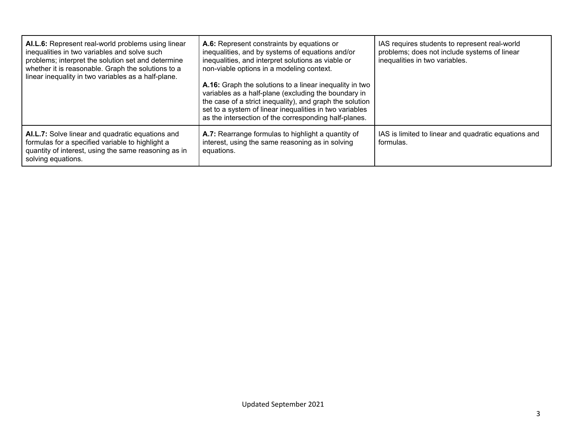| AI.L.6: Represent real-world problems using linear<br>inequalities in two variables and solve such<br>problems; interpret the solution set and determine<br>whether it is reasonable. Graph the solutions to a<br>linear inequality in two variables as a half-plane. | A.6: Represent constraints by equations or<br>inequalities, and by systems of equations and/or<br>inequalities, and interpret solutions as viable or<br>non-viable options in a modeling context.<br>A.16: Graph the solutions to a linear inequality in two<br>variables as a half-plane (excluding the boundary in<br>the case of a strict inequality), and graph the solution<br>set to a system of linear inequalities in two variables<br>as the intersection of the corresponding half-planes. | IAS requires students to represent real-world<br>problems; does not include systems of linear<br>inequalities in two variables. |
|-----------------------------------------------------------------------------------------------------------------------------------------------------------------------------------------------------------------------------------------------------------------------|------------------------------------------------------------------------------------------------------------------------------------------------------------------------------------------------------------------------------------------------------------------------------------------------------------------------------------------------------------------------------------------------------------------------------------------------------------------------------------------------------|---------------------------------------------------------------------------------------------------------------------------------|
| AI.L.7: Solve linear and quadratic equations and<br>formulas for a specified variable to highlight a<br>quantity of interest, using the same reasoning as in<br>solving equations.                                                                                    | A.7: Rearrange formulas to highlight a quantity of<br>interest, using the same reasoning as in solving<br>equations.                                                                                                                                                                                                                                                                                                                                                                                 | IAS is limited to linear and quadratic equations and<br>formulas.                                                               |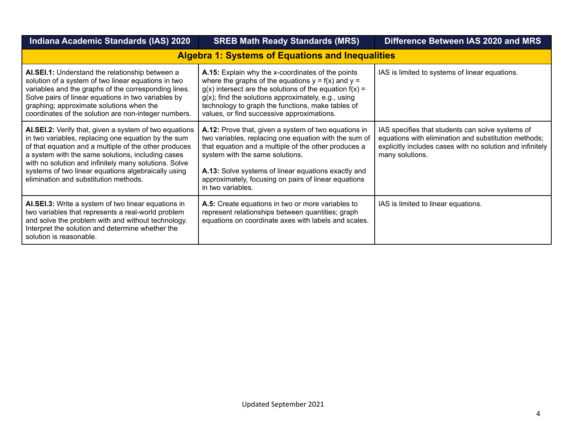| <b>Indiana Academic Standards (IAS) 2020</b>                                                                                                                                                                                                                                                                                                                                         | <b>SREB Math Ready Standards (MRS)</b>                                                                                                                                                                                                                                                                                                        | Difference Between IAS 2020 and MRS                                                                                                                                                      |
|--------------------------------------------------------------------------------------------------------------------------------------------------------------------------------------------------------------------------------------------------------------------------------------------------------------------------------------------------------------------------------------|-----------------------------------------------------------------------------------------------------------------------------------------------------------------------------------------------------------------------------------------------------------------------------------------------------------------------------------------------|------------------------------------------------------------------------------------------------------------------------------------------------------------------------------------------|
|                                                                                                                                                                                                                                                                                                                                                                                      | <b>Algebra 1: Systems of Equations and Inequalities</b>                                                                                                                                                                                                                                                                                       |                                                                                                                                                                                          |
| AI.SEI.1: Understand the relationship between a<br>solution of a system of two linear equations in two<br>variables and the graphs of the corresponding lines.<br>Solve pairs of linear equations in two variables by<br>graphing; approximate solutions when the<br>coordinates of the solution are non-integer numbers.                                                            | A.15: Explain why the x-coordinates of the points<br>where the graphs of the equations $y = f(x)$ and $y = f'(x)$<br>$g(x)$ intersect are the solutions of the equation $f(x) =$<br>$g(x)$ ; find the solutions approximately, e.g., using<br>technology to graph the functions, make tables of<br>values, or find successive approximations. | IAS is limited to systems of linear equations.                                                                                                                                           |
| AI.SEI.2: Verify that, given a system of two equations<br>in two variables, replacing one equation by the sum<br>of that equation and a multiple of the other produces<br>a system with the same solutions, including cases<br>with no solution and infinitely many solutions. Solve<br>systems of two linear equations algebraically using<br>elimination and substitution methods. | A.12: Prove that, given a system of two equations in<br>two variables, replacing one equation with the sum of<br>that equation and a multiple of the other produces a<br>system with the same solutions.<br>A.13: Solve systems of linear equations exactly and<br>approximately, focusing on pairs of linear equations<br>in two variables.  | IAS specifies that students can solve systems of<br>equations with elimination and substitution methods;<br>explicitly includes cases with no solution and infinitely<br>many solutions. |
| AI.SEI.3: Write a system of two linear equations in<br>two variables that represents a real-world problem<br>and solve the problem with and without technology.<br>Interpret the solution and determine whether the<br>solution is reasonable.                                                                                                                                       | A.5: Create equations in two or more variables to<br>represent relationships between quantities; graph<br>equations on coordinate axes with labels and scales.                                                                                                                                                                                | IAS is limited to linear equations.                                                                                                                                                      |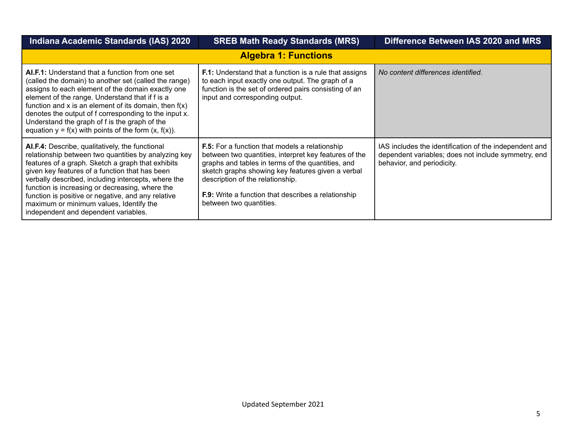| Indiana Academic Standards (IAS) 2020                                                                                                                                                                                                                                                                                                                                                                                                                             | <b>SREB Math Ready Standards (MRS)</b>                                                                                                                                                                                                                                                                                                                | Difference Between IAS 2020 and MRS                                                                                                         |
|-------------------------------------------------------------------------------------------------------------------------------------------------------------------------------------------------------------------------------------------------------------------------------------------------------------------------------------------------------------------------------------------------------------------------------------------------------------------|-------------------------------------------------------------------------------------------------------------------------------------------------------------------------------------------------------------------------------------------------------------------------------------------------------------------------------------------------------|---------------------------------------------------------------------------------------------------------------------------------------------|
|                                                                                                                                                                                                                                                                                                                                                                                                                                                                   | <b>Algebra 1: Functions</b>                                                                                                                                                                                                                                                                                                                           |                                                                                                                                             |
| AI.F.1: Understand that a function from one set<br>(called the domain) to another set (called the range)<br>assigns to each element of the domain exactly one<br>element of the range. Understand that if f is a<br>function and x is an element of its domain, then $f(x)$<br>denotes the output of f corresponding to the input x.<br>Understand the graph of f is the graph of the<br>equation $y = f(x)$ with points of the form $(x, f(x))$ .                | <b>F.1:</b> Understand that a function is a rule that assigns<br>to each input exactly one output. The graph of a<br>function is the set of ordered pairs consisting of an<br>input and corresponding output.                                                                                                                                         | No content differences identified.                                                                                                          |
| AI.F.4: Describe, qualitatively, the functional<br>relationship between two quantities by analyzing key<br>features of a graph. Sketch a graph that exhibits<br>given key features of a function that has been<br>verbally described, including intercepts, where the<br>function is increasing or decreasing, where the<br>function is positive or negative, and any relative<br>maximum or minimum values, Identify the<br>independent and dependent variables. | <b>F.5:</b> For a function that models a relationship<br>between two quantities, interpret key features of the<br>graphs and tables in terms of the quantities, and<br>sketch graphs showing key features given a verbal<br>description of the relationship.<br><b>F.9:</b> Write a function that describes a relationship<br>between two quantities. | IAS includes the identification of the independent and<br>dependent variables; does not include symmetry, end<br>behavior, and periodicity. |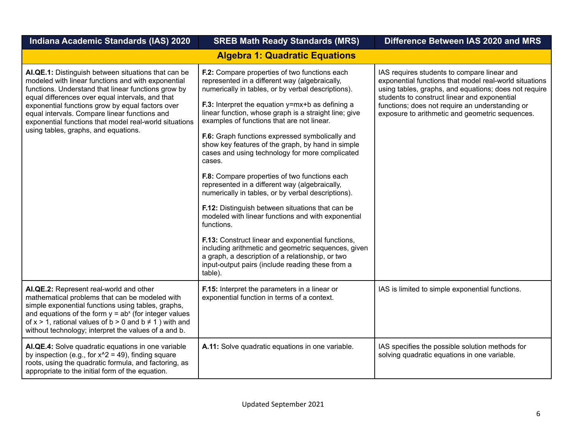| Indiana Academic Standards (IAS) 2020                                                                                                                                                                                                                                                                                                                                                                                       | <b>SREB Math Ready Standards (MRS)</b>                                                                                                                                                                                                                                                                                                                                                                                                                                                                                                                                                                                                                                                                                                                                                                                                                                                                                                                                                                | Difference Between IAS 2020 and MRS                                                                                                                                                                                                                                                                                  |
|-----------------------------------------------------------------------------------------------------------------------------------------------------------------------------------------------------------------------------------------------------------------------------------------------------------------------------------------------------------------------------------------------------------------------------|-------------------------------------------------------------------------------------------------------------------------------------------------------------------------------------------------------------------------------------------------------------------------------------------------------------------------------------------------------------------------------------------------------------------------------------------------------------------------------------------------------------------------------------------------------------------------------------------------------------------------------------------------------------------------------------------------------------------------------------------------------------------------------------------------------------------------------------------------------------------------------------------------------------------------------------------------------------------------------------------------------|----------------------------------------------------------------------------------------------------------------------------------------------------------------------------------------------------------------------------------------------------------------------------------------------------------------------|
|                                                                                                                                                                                                                                                                                                                                                                                                                             | <b>Algebra 1: Quadratic Equations</b>                                                                                                                                                                                                                                                                                                                                                                                                                                                                                                                                                                                                                                                                                                                                                                                                                                                                                                                                                                 |                                                                                                                                                                                                                                                                                                                      |
| AI.QE.1: Distinguish between situations that can be<br>modeled with linear functions and with exponential<br>functions. Understand that linear functions grow by<br>equal differences over equal intervals, and that<br>exponential functions grow by equal factors over<br>equal intervals. Compare linear functions and<br>exponential functions that model real-world situations<br>using tables, graphs, and equations. | F.2: Compare properties of two functions each<br>represented in a different way (algebraically,<br>numerically in tables, or by verbal descriptions).<br>F.3: Interpret the equation y=mx+b as defining a<br>linear function, whose graph is a straight line; give<br>examples of functions that are not linear.<br>F.6: Graph functions expressed symbolically and<br>show key features of the graph, by hand in simple<br>cases and using technology for more complicated<br>cases.<br>F.8: Compare properties of two functions each<br>represented in a different way (algebraically,<br>numerically in tables, or by verbal descriptions).<br>F.12: Distinguish between situations that can be<br>modeled with linear functions and with exponential<br>functions.<br>F.13: Construct linear and exponential functions,<br>including arithmetic and geometric sequences, given<br>a graph, a description of a relationship, or two<br>input-output pairs (include reading these from a<br>table). | IAS requires students to compare linear and<br>exponential functions that model real-world situations<br>using tables, graphs, and equations; does not require<br>students to construct linear and exponential<br>functions; does not require an understanding or<br>exposure to arithmetic and geometric sequences. |
| AI.QE.2: Represent real-world and other<br>mathematical problems that can be modeled with<br>simple exponential functions using tables, graphs,<br>and equations of the form $y = ab^x$ (for integer values<br>of $x > 1$ , rational values of $b > 0$ and $b \ne 1$ ) with and<br>without technology; interpret the values of a and b.                                                                                     | F.15: Interpret the parameters in a linear or<br>exponential function in terms of a context.                                                                                                                                                                                                                                                                                                                                                                                                                                                                                                                                                                                                                                                                                                                                                                                                                                                                                                          | IAS is limited to simple exponential functions.                                                                                                                                                                                                                                                                      |
| AI.QE.4: Solve quadratic equations in one variable<br>by inspection (e.g., for $x^2 = 49$ ), finding square<br>roots, using the quadratic formula, and factoring, as<br>appropriate to the initial form of the equation.                                                                                                                                                                                                    | A.11: Solve quadratic equations in one variable.                                                                                                                                                                                                                                                                                                                                                                                                                                                                                                                                                                                                                                                                                                                                                                                                                                                                                                                                                      | IAS specifies the possible solution methods for<br>solving quadratic equations in one variable.                                                                                                                                                                                                                      |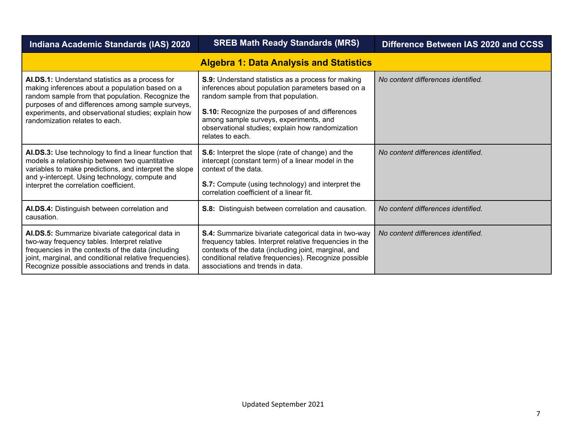| Indiana Academic Standards (IAS) 2020                                                                                                                                                                                                                                                                 | <b>SREB Math Ready Standards (MRS)</b>                                                                                                                                                                                                                                                                              | Difference Between IAS 2020 and CCSS |
|-------------------------------------------------------------------------------------------------------------------------------------------------------------------------------------------------------------------------------------------------------------------------------------------------------|---------------------------------------------------------------------------------------------------------------------------------------------------------------------------------------------------------------------------------------------------------------------------------------------------------------------|--------------------------------------|
|                                                                                                                                                                                                                                                                                                       | <b>Algebra 1: Data Analysis and Statistics</b>                                                                                                                                                                                                                                                                      |                                      |
| AI.DS.1: Understand statistics as a process for<br>making inferences about a population based on a<br>random sample from that population. Recognize the<br>purposes of and differences among sample surveys,<br>experiments, and observational studies; explain how<br>randomization relates to each. | S.9: Understand statistics as a process for making<br>inferences about population parameters based on a<br>random sample from that population.<br>S.10: Recognize the purposes of and differences<br>among sample surveys, experiments, and<br>observational studies; explain how randomization<br>relates to each. | No content differences identified.   |
| AI.DS.3: Use technology to find a linear function that<br>models a relationship between two quantitative<br>variables to make predictions, and interpret the slope<br>and y-intercept. Using technology, compute and<br>interpret the correlation coefficient.                                        | S.6: Interpret the slope (rate of change) and the<br>intercept (constant term) of a linear model in the<br>context of the data.<br><b>S.7:</b> Compute (using technology) and interpret the<br>correlation coefficient of a linear fit.                                                                             | No content differences identified.   |
| AI.DS.4: Distinguish between correlation and<br>causation.                                                                                                                                                                                                                                            | S.8: Distinguish between correlation and causation.                                                                                                                                                                                                                                                                 | No content differences identified.   |
| AI.DS.5: Summarize bivariate categorical data in<br>two-way frequency tables. Interpret relative<br>frequencies in the contexts of the data (including<br>joint, marginal, and conditional relative frequencies).<br>Recognize possible associations and trends in data.                              | S.4: Summarize bivariate categorical data in two-way<br>frequency tables. Interpret relative frequencies in the<br>contexts of the data (including joint, marginal, and<br>conditional relative frequencies). Recognize possible<br>associations and trends in data.                                                | No content differences identified.   |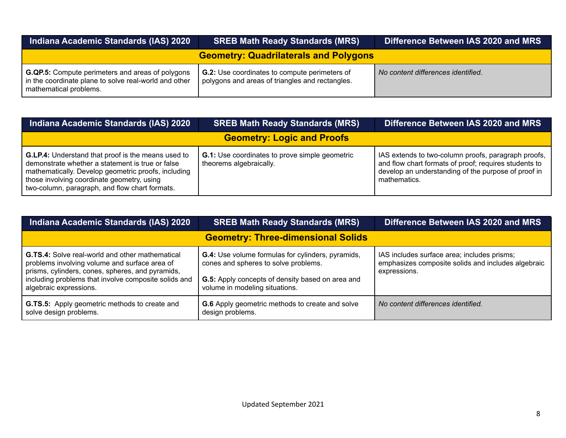| Indiana Academic Standards (IAS) 2020                                                                                                      | <b>SREB Math Ready Standards (MRS)</b>                                                                  | Difference Between IAS 2020 and MRS |
|--------------------------------------------------------------------------------------------------------------------------------------------|---------------------------------------------------------------------------------------------------------|-------------------------------------|
| <b>Geometry: Quadrilaterals and Polygons</b>                                                                                               |                                                                                                         |                                     |
| <b>G.QP.5:</b> Compute perimeters and areas of polygons<br>in the coordinate plane to solve real-world and other<br>mathematical problems. | <b>G.2:</b> Use coordinates to compute perimeters of<br>polygons and areas of triangles and rectangles. | No content differences identified.  |

| <b>Indiana Academic Standards (IAS) 2020</b>                                                                                                                                                                                                                         | <b>SREB Math Ready Standards (MRS)</b>                                           | Difference Between IAS 2020 and MRS                                                                                                                                                 |
|----------------------------------------------------------------------------------------------------------------------------------------------------------------------------------------------------------------------------------------------------------------------|----------------------------------------------------------------------------------|-------------------------------------------------------------------------------------------------------------------------------------------------------------------------------------|
|                                                                                                                                                                                                                                                                      | <b>Geometry: Logic and Proofs</b>                                                |                                                                                                                                                                                     |
| <b>G.LP.4:</b> Understand that proof is the means used to<br>demonstrate whether a statement is true or false<br>mathematically. Develop geometric proofs, including<br>those involving coordinate geometry, using<br>two-column, paragraph, and flow chart formats. | <b>G.1:</b> Use coordinates to prove simple geometric<br>theorems algebraically. | IAS extends to two-column proofs, paragraph proofs,<br>and flow chart formats of proof; requires students to<br>develop an understanding of the purpose of proof in<br>mathematics. |

| Indiana Academic Standards (IAS) 2020                                                                                                                                                                                                         | <b>SREB Math Ready Standards (MRS)</b>                                                                                                                                                 | Difference Between IAS 2020 and MRS                                                                               |  |
|-----------------------------------------------------------------------------------------------------------------------------------------------------------------------------------------------------------------------------------------------|----------------------------------------------------------------------------------------------------------------------------------------------------------------------------------------|-------------------------------------------------------------------------------------------------------------------|--|
| <b>Geometry: Three-dimensional Solids</b>                                                                                                                                                                                                     |                                                                                                                                                                                        |                                                                                                                   |  |
| <b>G.TS.4:</b> Solve real-world and other mathematical<br>problems involving volume and surface area of<br>prisms, cylinders, cones, spheres, and pyramids,<br>including problems that involve composite solids and<br>algebraic expressions. | <b>G.4:</b> Use volume formulas for cylinders, pyramids,<br>cones and spheres to solve problems.<br>G.5: Apply concepts of density based on area and<br>volume in modeling situations. | IAS includes surface area; includes prisms;<br>emphasizes composite solids and includes algebraic<br>expressions. |  |
| <b>G.TS.5:</b> Apply geometric methods to create and<br>solve design problems.                                                                                                                                                                | <b>G.6</b> Apply geometric methods to create and solve<br>design problems.                                                                                                             | No content differences identified.                                                                                |  |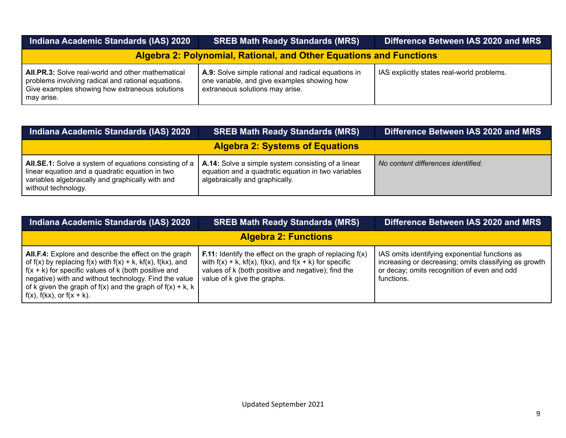| Indiana Academic Standards (IAS) 2020                                                                                                                                          | <b>SREB Math Ready Standards (MRS)</b>                                                                                                | Difference Between IAS 2020 and MRS        |
|--------------------------------------------------------------------------------------------------------------------------------------------------------------------------------|---------------------------------------------------------------------------------------------------------------------------------------|--------------------------------------------|
| <b>Algebra 2: Polynomial, Rational, and Other Equations and Functions</b>                                                                                                      |                                                                                                                                       |                                            |
| <b>All.PR.3:</b> Solve real-world and other mathematical<br>problems involving radical and rational equations.<br>Give examples showing how extraneous solutions<br>may arise. | A.9: Solve simple rational and radical equations in<br>one variable, and give examples showing how<br>extraneous solutions may arise. | IAS explicitly states real-world problems. |

| Indiana Academic Standards (IAS) 2020                                                                                                                                               | <b>SREB Math Ready Standards (MRS)</b>                                                                                                     | Difference Between IAS 2020 and MRS |
|-------------------------------------------------------------------------------------------------------------------------------------------------------------------------------------|--------------------------------------------------------------------------------------------------------------------------------------------|-------------------------------------|
|                                                                                                                                                                                     | <b>Algebra 2: Systems of Equations</b>                                                                                                     |                                     |
| All.SE.1: Solve a system of equations consisting of a<br>linear equation and a quadratic equation in two<br>variables algebraically and graphically with and<br>without technology. | A.14: Solve a simple system consisting of a linear<br>equation and a quadratic equation in two variables<br>algebraically and graphically. | No content differences identified.  |

| Indiana Academic Standards (IAS) 2020                                                                                                                                                                                                                                                                                                                  | <b>SREB Math Ready Standards (MRS)</b>                                                                                                                                                                                      | Difference Between IAS 2020 and MRS                                                                                                                                  |
|--------------------------------------------------------------------------------------------------------------------------------------------------------------------------------------------------------------------------------------------------------------------------------------------------------------------------------------------------------|-----------------------------------------------------------------------------------------------------------------------------------------------------------------------------------------------------------------------------|----------------------------------------------------------------------------------------------------------------------------------------------------------------------|
| <b>Algebra 2: Functions</b>                                                                                                                                                                                                                                                                                                                            |                                                                                                                                                                                                                             |                                                                                                                                                                      |
| <b>All.F.4:</b> Explore and describe the effect on the graph<br>of f(x) by replacing f(x) with f(x) + k, kf(x), f(kx), and<br>$\int f(x + k)$ for specific values of k (both positive and<br>negative) with and without technology. Find the value<br>of k given the graph of f(x) and the graph of f(x) + k, k  <br>$\int f(x)$ , f(kx), or f(x + k). | <b>F.11:</b> Identify the effect on the graph of replacing $f(x)$<br>with $f(x) + k$ , $kf(x)$ , $f(kx)$ , and $f(x + k)$ for specific<br>values of k (both positive and negative); find the<br>value of k give the graphs. | IAS omits identifying exponential functions as<br>increasing or decreasing; omits classifying as growth<br>or decay; omits recognition of even and odd<br>functions. |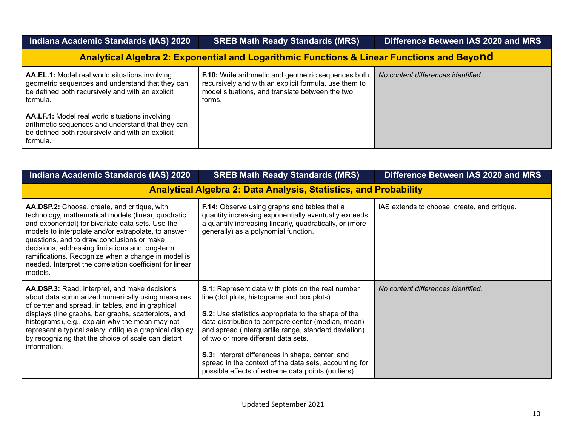| Indiana Academic Standards (IAS) 2020                                                                                                                                                                                                                                     | <b>SREB Math Ready Standards (MRS)</b>                                                                                                                                           | Difference Between IAS 2020 and MRS |  |  |
|---------------------------------------------------------------------------------------------------------------------------------------------------------------------------------------------------------------------------------------------------------------------------|----------------------------------------------------------------------------------------------------------------------------------------------------------------------------------|-------------------------------------|--|--|
| <b>Analytical Algebra 2: Exponential and Logarithmic Functions &amp; Linear Functions and Beyond</b>                                                                                                                                                                      |                                                                                                                                                                                  |                                     |  |  |
| AA.EL.1: Model real world situations involving<br>geometric sequences and understand that they can<br>be defined both recursively and with an explicit<br>formula.<br>AA.LF.1: Model real world situations involving<br>arithmetic sequences and understand that they can | <b>F.10:</b> Write arithmetic and geometric sequences both<br>recursively and with an explicit formula, use them to<br>model situations, and translate between the two<br>forms. | No content differences identified.  |  |  |
| be defined both recursively and with an explicit<br>formula.                                                                                                                                                                                                              |                                                                                                                                                                                  |                                     |  |  |

| Indiana Academic Standards (IAS) 2020                                                                                                                                                                                                                                                                                                                                                                                                        | <b>SREB Math Ready Standards (MRS)</b>                                                                                                                                                                                                                                                                                                                                                                                                                                                          | Difference Between IAS 2020 and MRS          |  |  |
|----------------------------------------------------------------------------------------------------------------------------------------------------------------------------------------------------------------------------------------------------------------------------------------------------------------------------------------------------------------------------------------------------------------------------------------------|-------------------------------------------------------------------------------------------------------------------------------------------------------------------------------------------------------------------------------------------------------------------------------------------------------------------------------------------------------------------------------------------------------------------------------------------------------------------------------------------------|----------------------------------------------|--|--|
| <b>Analytical Algebra 2: Data Analysis, Statistics, and Probability</b>                                                                                                                                                                                                                                                                                                                                                                      |                                                                                                                                                                                                                                                                                                                                                                                                                                                                                                 |                                              |  |  |
| AA.DSP.2: Choose, create, and critique, with<br>technology, mathematical models (linear, quadratic<br>and exponential) for bivariate data sets. Use the<br>models to interpolate and/or extrapolate, to answer<br>questions, and to draw conclusions or make<br>decisions, addressing limitations and long-term<br>ramifications. Recognize when a change in model is<br>needed. Interpret the correlation coefficient for linear<br>models. | F.14: Observe using graphs and tables that a<br>quantity increasing exponentially eventually exceeds<br>a quantity increasing linearly, quadratically, or (more<br>generally) as a polynomial function.                                                                                                                                                                                                                                                                                         | IAS extends to choose, create, and critique. |  |  |
| AA.DSP.3: Read, interpret, and make decisions<br>about data summarized numerically using measures<br>of center and spread, in tables, and in graphical<br>displays (line graphs, bar graphs, scatterplots, and<br>histograms), e.g., explain why the mean may not<br>represent a typical salary; critique a graphical display<br>by recognizing that the choice of scale can distort<br>information.                                         | <b>S.1:</b> Represent data with plots on the real number<br>line (dot plots, histograms and box plots).<br><b>S.2:</b> Use statistics appropriate to the shape of the<br>data distribution to compare center (median, mean)<br>and spread (interquartile range, standard deviation)<br>of two or more different data sets.<br>S.3: Interpret differences in shape, center, and<br>spread in the context of the data sets, accounting for<br>possible effects of extreme data points (outliers). | No content differences identified.           |  |  |